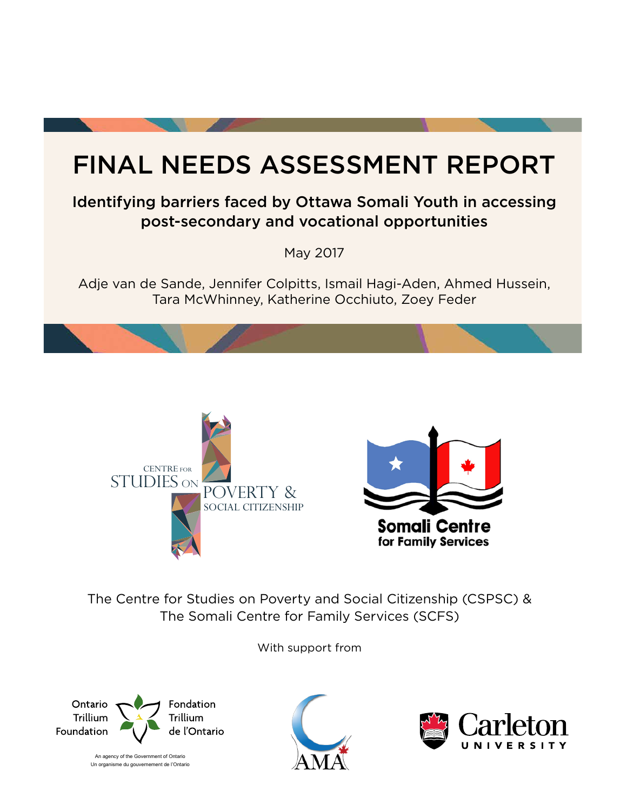# FINAL NEEDS ASSESSMENT REPORT

## Identifying barriers faced by Ottawa Somali Youth in accessing post-secondary and vocational opportunities

May 2017

Adje van de Sande, Jennifer Colpitts, Ismail Hagi-Aden, Ahmed Hussein, Tara McWhinney, Katherine Occhiuto, Zoey Feder





The Centre for Studies on Poverty and Social Citizenship (CSPSC) & The Somali Centre for Family Services (SCFS)

With support from



An agency of the Government of Ontario Un organisme du gouvernement de l'Ontario



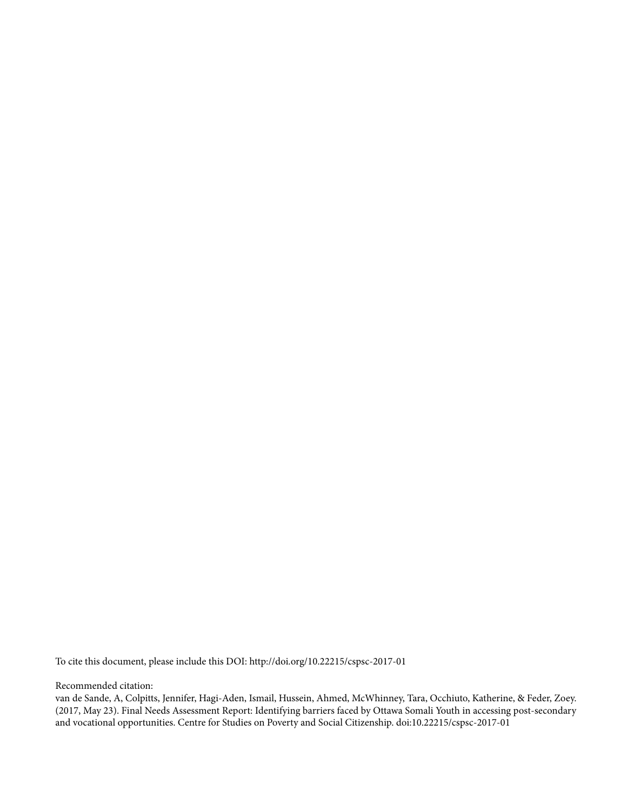To cite this document, please include this DOI: http://doi.org/10.22215/cspsc-2017-01

Recommended citation:

van de Sande, A, Colpitts, Jennifer, Hagi-Aden, Ismail, Hussein, Ahmed, McWhinney, Tara, Occhiuto, Katherine, & Feder, Zoey. (2017, May 23). Final Needs Assessment Report: Identifying barriers faced by Ottawa Somali Youth in accessing post-secondary and vocational opportunities. Centre for Studies on Poverty and Social Citizenship. doi:10.22215/cspsc-2017-01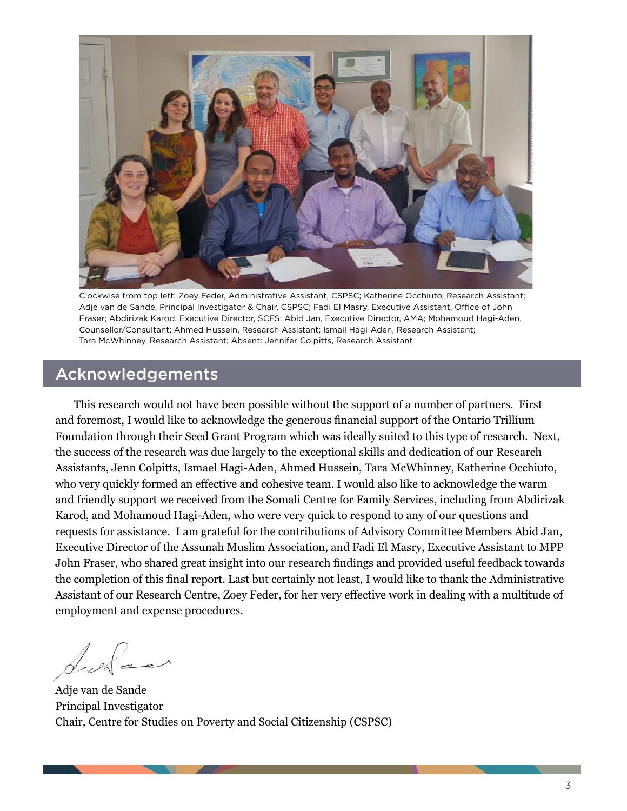

Clockwise from top left: Zoey Feder, Administrative Assistant, CSPSC; Katherine Occhiuto, Research Assistant; Adje van de Sande, Principal Investigator & Chair, CSPSC; Fadi El Masry, Executive Assistant, Office of John Fraser; Abdirizak Karod, Executive Director, SCFS; Abid Jan, Executive Director, AMA; Mohamoud Hagi-Aden, Counsellor/Consultant; Ahmed Hussein, Research Assistant; Ismail Hagi-Aden, Research Assistant; Tara McWhinney, Research Assistant; Absent: Jennifer Colpitts, Research Assistant

#### Acknowledgements

This research would not have been possible without the support of a number of partners. First and foremost, I would like to acknowledge the generous financial support of the Ontario Trillium Foundation through their Seed Grant Program which was ideally suited to this type of research. Next, the success of the research was due largely to the exceptional skills and dedication of our Research Assistants, Jenn Colpitts, Ismael Hagi-Aden, Ahmed Hussein, Tara McWhinney, Katherine Occhiuto, who very quickly formed an effective and cohesive team. I would also like to acknowledge the warm and friendly support we received from the Somali Centre for Family Services, including from Abdirizak Karod, and Mohamoud Hagi-Aden, who were very quick to respond to any of our questions and requests for assistance. I am grateful for the contributions of Advisory Committee Members Abid Jan, Executive Director of the Assunah Muslim Association, and Fadi El Masry, Executive Assistant to MPP John Fraser, who shared great insight into our research findings and provided useful feedback towards the completion of this final report. Last but certainly not least, I would like to thank the Administrative Assistant of our Research Centre, Zoey Feder, for her very effective work in dealing with a multitude of employment and expense procedures.

Surface

Adje van de Sande Principal Investigator Chair, Centre for Studies on Poverty and Social Citizenship (CSPSC)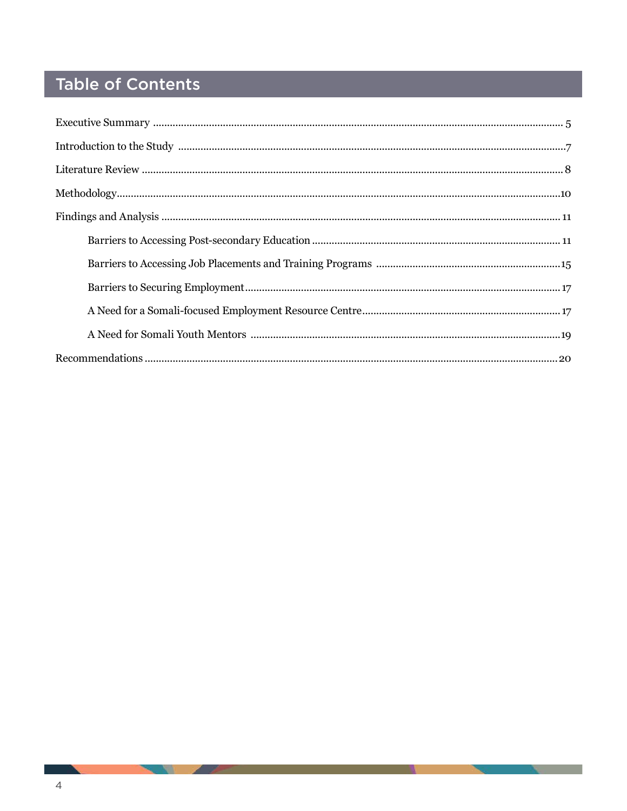## Table of Contents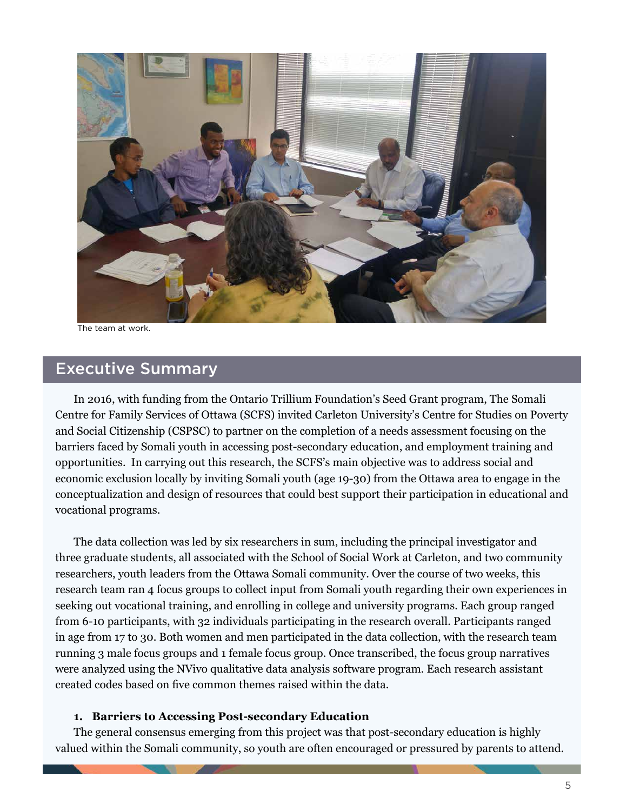

The team at work.

## Executive Summary

In 2016, with funding from the Ontario Trillium Foundation's Seed Grant program, The Somali Centre for Family Services of Ottawa (SCFS) invited Carleton University's Centre for Studies on Poverty and Social Citizenship (CSPSC) to partner on the completion of a needs assessment focusing on the barriers faced by Somali youth in accessing post-secondary education, and employment training and opportunities. In carrying out this research, the SCFS's main objective was to address social and economic exclusion locally by inviting Somali youth (age 19-30) from the Ottawa area to engage in the conceptualization and design of resources that could best support their participation in educational and vocational programs.

The data collection was led by six researchers in sum, including the principal investigator and three graduate students, all associated with the School of Social Work at Carleton, and two community researchers, youth leaders from the Ottawa Somali community. Over the course of two weeks, this research team ran 4 focus groups to collect input from Somali youth regarding their own experiences in seeking out vocational training, and enrolling in college and university programs. Each group ranged from 6-10 participants, with 32 individuals participating in the research overall. Participants ranged in age from 17 to 30. Both women and men participated in the data collection, with the research team running 3 male focus groups and 1 female focus group. Once transcribed, the focus group narratives were analyzed using the NVivo qualitative data analysis software program. Each research assistant created codes based on five common themes raised within the data.

#### **1. Barriers to Accessing Post-secondary Education**

The general consensus emerging from this project was that post-secondary education is highly valued within the Somali community, so youth are often encouraged or pressured by parents to attend.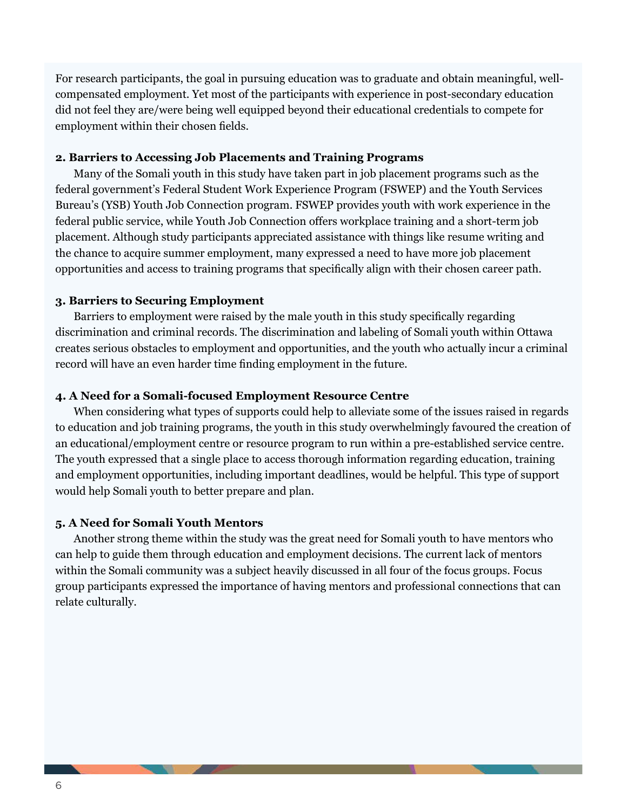For research participants, the goal in pursuing education was to graduate and obtain meaningful, wellcompensated employment. Yet most of the participants with experience in post-secondary education did not feel they are/were being well equipped beyond their educational credentials to compete for employment within their chosen fields.

#### **2. Barriers to Accessing Job Placements and Training Programs**

Many of the Somali youth in this study have taken part in job placement programs such as the federal government's Federal Student Work Experience Program (FSWEP) and the Youth Services Bureau's (YSB) Youth Job Connection program. FSWEP provides youth with work experience in the federal public service, while Youth Job Connection offers workplace training and a short-term job placement. Although study participants appreciated assistance with things like resume writing and the chance to acquire summer employment, many expressed a need to have more job placement opportunities and access to training programs that specifically align with their chosen career path.

#### **3. Barriers to Securing Employment**

Barriers to employment were raised by the male youth in this study specifically regarding discrimination and criminal records. The discrimination and labeling of Somali youth within Ottawa creates serious obstacles to employment and opportunities, and the youth who actually incur a criminal record will have an even harder time finding employment in the future.

#### **4. A Need for a Somali-focused Employment Resource Centre**

When considering what types of supports could help to alleviate some of the issues raised in regards to education and job training programs, the youth in this study overwhelmingly favoured the creation of an educational/employment centre or resource program to run within a pre-established service centre. The youth expressed that a single place to access thorough information regarding education, training and employment opportunities, including important deadlines, would be helpful. This type of support would help Somali youth to better prepare and plan.

#### **5. A Need for Somali Youth Mentors**

Another strong theme within the study was the great need for Somali youth to have mentors who can help to guide them through education and employment decisions. The current lack of mentors within the Somali community was a subject heavily discussed in all four of the focus groups. Focus group participants expressed the importance of having mentors and professional connections that can relate culturally.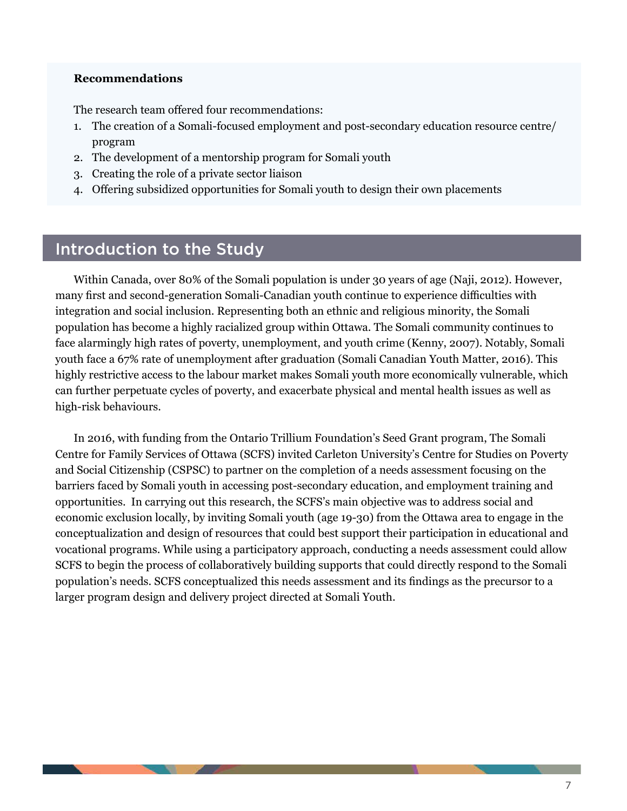#### **Recommendations**

The research team offered four recommendations:

- 1. The creation of a Somali-focused employment and post-secondary education resource centre/ program
- 2. The development of a mentorship program for Somali youth
- 3. Creating the role of a private sector liaison
- 4. Offering subsidized opportunities for Somali youth to design their own placements

## Introduction to the Study

Within Canada, over 80% of the Somali population is under 30 years of age (Naji, 2012). However, many first and second-generation Somali-Canadian youth continue to experience difficulties with integration and social inclusion. Representing both an ethnic and religious minority, the Somali population has become a highly racialized group within Ottawa. The Somali community continues to face alarmingly high rates of poverty, unemployment, and youth crime (Kenny, 2007). Notably, Somali youth face a 67% rate of unemployment after graduation (Somali Canadian Youth Matter, 2016). This highly restrictive access to the labour market makes Somali youth more economically vulnerable, which can further perpetuate cycles of poverty, and exacerbate physical and mental health issues as well as high-risk behaviours.

In 2016, with funding from the Ontario Trillium Foundation's Seed Grant program, The Somali Centre for Family Services of Ottawa (SCFS) invited Carleton University's Centre for Studies on Poverty and Social Citizenship (CSPSC) to partner on the completion of a needs assessment focusing on the barriers faced by Somali youth in accessing post-secondary education, and employment training and opportunities. In carrying out this research, the SCFS's main objective was to address social and economic exclusion locally, by inviting Somali youth (age 19-30) from the Ottawa area to engage in the conceptualization and design of resources that could best support their participation in educational and vocational programs. While using a participatory approach, conducting a needs assessment could allow SCFS to begin the process of collaboratively building supports that could directly respond to the Somali population's needs. SCFS conceptualized this needs assessment and its findings as the precursor to a larger program design and delivery project directed at Somali Youth.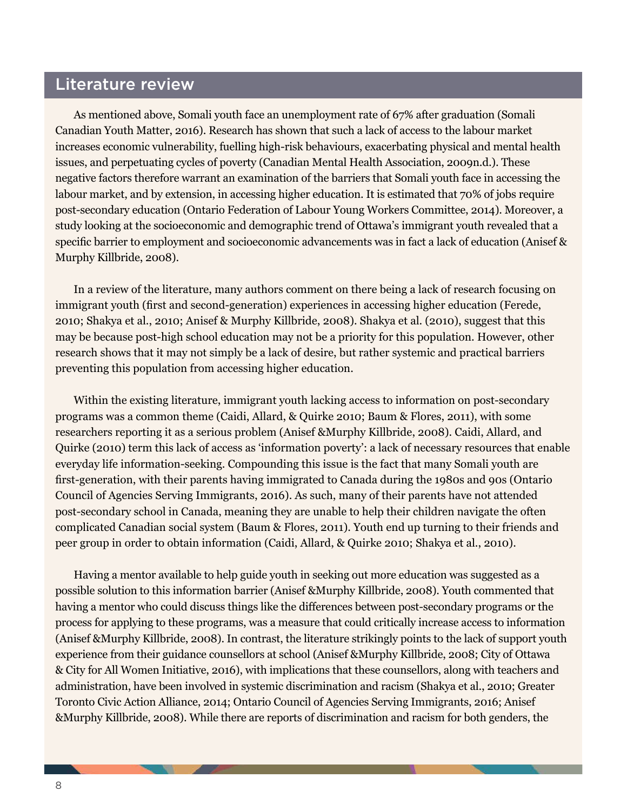## Literature review

As mentioned above, Somali youth face an unemployment rate of 67% after graduation (Somali Canadian Youth Matter, 2016). Research has shown that such a lack of access to the labour market increases economic vulnerability, fuelling high-risk behaviours, exacerbating physical and mental health issues, and perpetuating cycles of poverty (Canadian Mental Health Association, 2009n.d.). These negative factors therefore warrant an examination of the barriers that Somali youth face in accessing the labour market, and by extension, in accessing higher education. It is estimated that 70% of jobs require post-secondary education (Ontario Federation of Labour Young Workers Committee, 2014). Moreover, a study looking at the socioeconomic and demographic trend of Ottawa's immigrant youth revealed that a specific barrier to employment and socioeconomic advancements was in fact a lack of education (Anisef & Murphy Killbride, 2008).

In a review of the literature, many authors comment on there being a lack of research focusing on immigrant youth (first and second-generation) experiences in accessing higher education (Ferede, 2010; Shakya et al., 2010; Anisef & Murphy Killbride, 2008). Shakya et al. (2010), suggest that this may be because post-high school education may not be a priority for this population. However, other research shows that it may not simply be a lack of desire, but rather systemic and practical barriers preventing this population from accessing higher education.

Within the existing literature, immigrant youth lacking access to information on post-secondary programs was a common theme (Caidi, Allard, & Quirke 2010; Baum & Flores, 2011), with some researchers reporting it as a serious problem (Anisef &Murphy Killbride, 2008). Caidi, Allard, and Quirke (2010) term this lack of access as 'information poverty': a lack of necessary resources that enable everyday life information-seeking. Compounding this issue is the fact that many Somali youth are first-generation, with their parents having immigrated to Canada during the 1980s and 90s (Ontario Council of Agencies Serving Immigrants, 2016). As such, many of their parents have not attended post-secondary school in Canada, meaning they are unable to help their children navigate the often complicated Canadian social system (Baum & Flores, 2011). Youth end up turning to their friends and peer group in order to obtain information (Caidi, Allard, & Quirke 2010; Shakya et al., 2010).

Having a mentor available to help guide youth in seeking out more education was suggested as a possible solution to this information barrier (Anisef &Murphy Killbride, 2008). Youth commented that having a mentor who could discuss things like the differences between post-secondary programs or the process for applying to these programs, was a measure that could critically increase access to information (Anisef &Murphy Killbride, 2008). In contrast, the literature strikingly points to the lack of support youth experience from their guidance counsellors at school (Anisef &Murphy Killbride, 2008; City of Ottawa & City for All Women Initiative, 2016), with implications that these counsellors, along with teachers and administration, have been involved in systemic discrimination and racism (Shakya et al., 2010; Greater Toronto Civic Action Alliance, 2014; Ontario Council of Agencies Serving Immigrants, 2016; Anisef &Murphy Killbride, 2008). While there are reports of discrimination and racism for both genders, the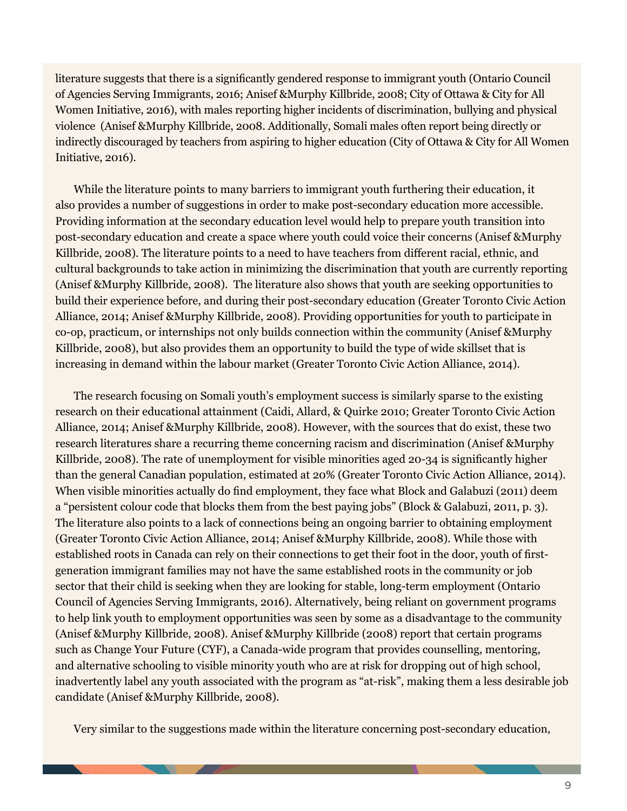literature suggests that there is a significantly gendered response to immigrant youth (Ontario Council of Agencies Serving Immigrants, 2016; Anisef &Murphy Killbride, 2008; City of Ottawa & City for All Women Initiative, 2016), with males reporting higher incidents of discrimination, bullying and physical violence (Anisef &Murphy Killbride, 2008. Additionally, Somali males often report being directly or indirectly discouraged by teachers from aspiring to higher education (City of Ottawa & City for All Women Initiative, 2016).

While the literature points to many barriers to immigrant youth furthering their education, it also provides a number of suggestions in order to make post-secondary education more accessible. Providing information at the secondary education level would help to prepare youth transition into post-secondary education and create a space where youth could voice their concerns (Anisef &Murphy Killbride, 2008). The literature points to a need to have teachers from different racial, ethnic, and cultural backgrounds to take action in minimizing the discrimination that youth are currently reporting (Anisef &Murphy Killbride, 2008). The literature also shows that youth are seeking opportunities to build their experience before, and during their post-secondary education (Greater Toronto Civic Action Alliance, 2014; Anisef &Murphy Killbride, 2008). Providing opportunities for youth to participate in co-op, practicum, or internships not only builds connection within the community (Anisef &Murphy Killbride, 2008), but also provides them an opportunity to build the type of wide skillset that is increasing in demand within the labour market (Greater Toronto Civic Action Alliance, 2014).

The research focusing on Somali youth's employment success is similarly sparse to the existing research on their educational attainment (Caidi, Allard, & Quirke 2010; Greater Toronto Civic Action Alliance, 2014; Anisef &Murphy Killbride, 2008). However, with the sources that do exist, these two research literatures share a recurring theme concerning racism and discrimination (Anisef &Murphy Killbride, 2008). The rate of unemployment for visible minorities aged 20-34 is significantly higher than the general Canadian population, estimated at 20% (Greater Toronto Civic Action Alliance, 2014). When visible minorities actually do find employment, they face what Block and Galabuzi (2011) deem a "persistent colour code that blocks them from the best paying jobs" (Block & Galabuzi, 2011, p. 3). The literature also points to a lack of connections being an ongoing barrier to obtaining employment (Greater Toronto Civic Action Alliance, 2014; Anisef &Murphy Killbride, 2008). While those with established roots in Canada can rely on their connections to get their foot in the door, youth of firstgeneration immigrant families may not have the same established roots in the community or job sector that their child is seeking when they are looking for stable, long-term employment (Ontario Council of Agencies Serving Immigrants, 2016). Alternatively, being reliant on government programs to help link youth to employment opportunities was seen by some as a disadvantage to the community (Anisef &Murphy Killbride, 2008). Anisef &Murphy Killbride (2008) report that certain programs such as Change Your Future (CYF), a Canada-wide program that provides counselling, mentoring, and alternative schooling to visible minority youth who are at risk for dropping out of high school, inadvertently label any youth associated with the program as "at-risk", making them a less desirable job candidate (Anisef &Murphy Killbride, 2008).

Very similar to the suggestions made within the literature concerning post-secondary education,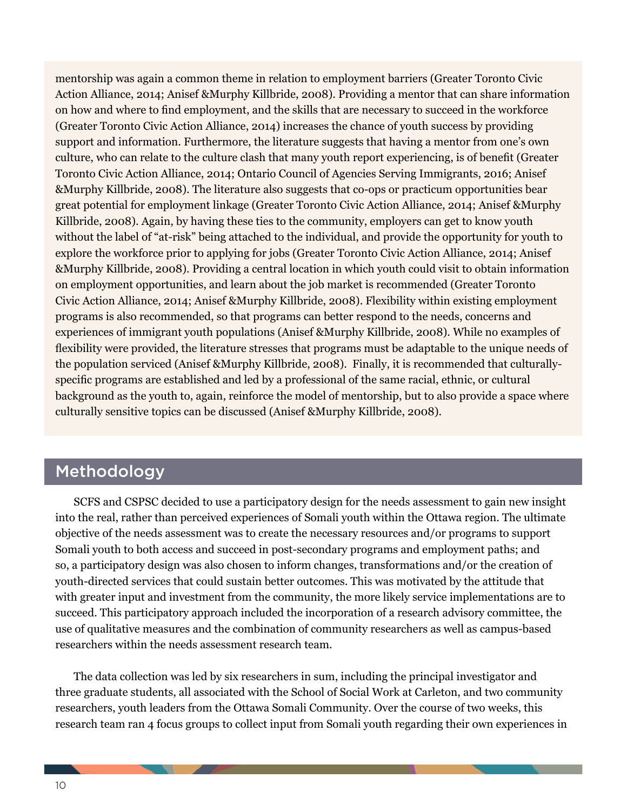mentorship was again a common theme in relation to employment barriers (Greater Toronto Civic Action Alliance, 2014; Anisef &Murphy Killbride, 2008). Providing a mentor that can share information on how and where to find employment, and the skills that are necessary to succeed in the workforce (Greater Toronto Civic Action Alliance, 2014) increases the chance of youth success by providing support and information. Furthermore, the literature suggests that having a mentor from one's own culture, who can relate to the culture clash that many youth report experiencing, is of benefit (Greater Toronto Civic Action Alliance, 2014; Ontario Council of Agencies Serving Immigrants, 2016; Anisef &Murphy Killbride, 2008). The literature also suggests that co-ops or practicum opportunities bear great potential for employment linkage (Greater Toronto Civic Action Alliance, 2014; Anisef &Murphy Killbride, 2008). Again, by having these ties to the community, employers can get to know youth without the label of "at-risk" being attached to the individual, and provide the opportunity for youth to explore the workforce prior to applying for jobs (Greater Toronto Civic Action Alliance, 2014; Anisef &Murphy Killbride, 2008). Providing a central location in which youth could visit to obtain information on employment opportunities, and learn about the job market is recommended (Greater Toronto Civic Action Alliance, 2014; Anisef &Murphy Killbride, 2008). Flexibility within existing employment programs is also recommended, so that programs can better respond to the needs, concerns and experiences of immigrant youth populations (Anisef &Murphy Killbride, 2008). While no examples of flexibility were provided, the literature stresses that programs must be adaptable to the unique needs of the population serviced (Anisef &Murphy Killbride, 2008). Finally, it is recommended that culturallyspecific programs are established and led by a professional of the same racial, ethnic, or cultural background as the youth to, again, reinforce the model of mentorship, but to also provide a space where culturally sensitive topics can be discussed (Anisef &Murphy Killbride, 2008).

## Methodology

SCFS and CSPSC decided to use a participatory design for the needs assessment to gain new insight into the real, rather than perceived experiences of Somali youth within the Ottawa region. The ultimate objective of the needs assessment was to create the necessary resources and/or programs to support Somali youth to both access and succeed in post-secondary programs and employment paths; and so, a participatory design was also chosen to inform changes, transformations and/or the creation of youth-directed services that could sustain better outcomes. This was motivated by the attitude that with greater input and investment from the community, the more likely service implementations are to succeed. This participatory approach included the incorporation of a research advisory committee, the use of qualitative measures and the combination of community researchers as well as campus-based researchers within the needs assessment research team.

The data collection was led by six researchers in sum, including the principal investigator and three graduate students, all associated with the School of Social Work at Carleton, and two community researchers, youth leaders from the Ottawa Somali Community. Over the course of two weeks, this research team ran 4 focus groups to collect input from Somali youth regarding their own experiences in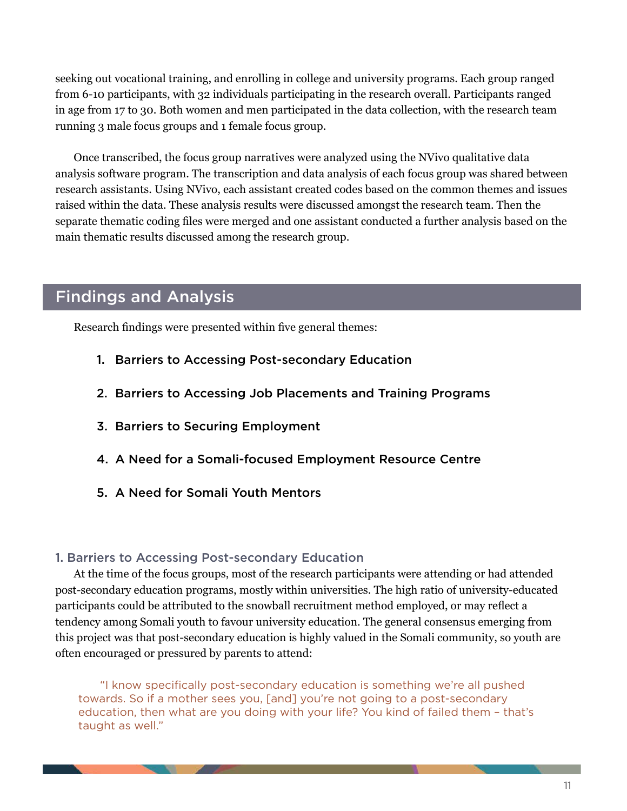seeking out vocational training, and enrolling in college and university programs. Each group ranged from 6-10 participants, with 32 individuals participating in the research overall. Participants ranged in age from 17 to 30. Both women and men participated in the data collection, with the research team running 3 male focus groups and 1 female focus group.

Once transcribed, the focus group narratives were analyzed using the NVivo qualitative data analysis software program. The transcription and data analysis of each focus group was shared between research assistants. Using NVivo, each assistant created codes based on the common themes and issues raised within the data. These analysis results were discussed amongst the research team. Then the separate thematic coding files were merged and one assistant conducted a further analysis based on the main thematic results discussed among the research group.

## Findings and Analysis

Research findings were presented within five general themes:

- 1. Barriers to Accessing Post-secondary Education
- 2. Barriers to Accessing Job Placements and Training Programs
- 3. Barriers to Securing Employment
- 4. A Need for a Somali-focused Employment Resource Centre
- 5. A Need for Somali Youth Mentors

#### 1. Barriers to Accessing Post-secondary Education

At the time of the focus groups, most of the research participants were attending or had attended post-secondary education programs, mostly within universities. The high ratio of university-educated participants could be attributed to the snowball recruitment method employed, or may reflect a tendency among Somali youth to favour university education. The general consensus emerging from this project was that post-secondary education is highly valued in the Somali community, so youth are often encouraged or pressured by parents to attend:

 "I know specifically post-secondary education is something we're all pushed towards. So if a mother sees you, [and] you're not going to a post-secondary education, then what are you doing with your life? You kind of failed them – that's taught as well."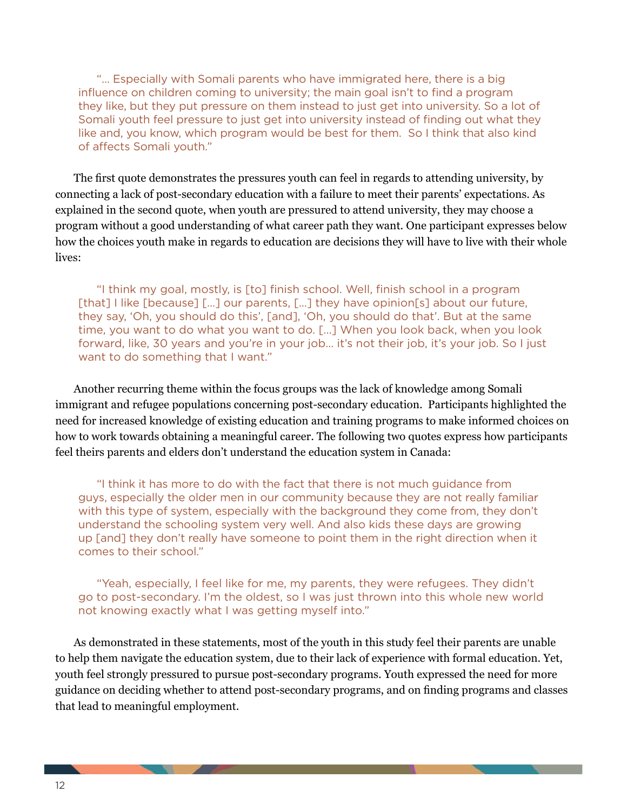"… Especially with Somali parents who have immigrated here, there is a big influence on children coming to university; the main goal isn't to find a program they like, but they put pressure on them instead to just get into university. So a lot of Somali youth feel pressure to just get into university instead of finding out what they like and, you know, which program would be best for them. So I think that also kind of affects Somali youth."

The first quote demonstrates the pressures youth can feel in regards to attending university, by connecting a lack of post-secondary education with a failure to meet their parents' expectations. As explained in the second quote, when youth are pressured to attend university, they may choose a program without a good understanding of what career path they want. One participant expresses below how the choices youth make in regards to education are decisions they will have to live with their whole lives:

"I think my goal, mostly, is [to] finish school. Well, finish school in a program [that] I like [because] [...] our parents, [...] they have opinion[s] about our future, they say, 'Oh, you should do this', [and], 'Oh, you should do that'. But at the same time, you want to do what you want to do. […] When you look back, when you look forward, like, 30 years and you're in your job... it's not their job, it's your job. So I just want to do something that I want."

Another recurring theme within the focus groups was the lack of knowledge among Somali immigrant and refugee populations concerning post-secondary education. Participants highlighted the need for increased knowledge of existing education and training programs to make informed choices on how to work towards obtaining a meaningful career. The following two quotes express how participants feel theirs parents and elders don't understand the education system in Canada:

"I think it has more to do with the fact that there is not much guidance from guys, especially the older men in our community because they are not really familiar with this type of system, especially with the background they come from, they don't understand the schooling system very well. And also kids these days are growing up [and] they don't really have someone to point them in the right direction when it comes to their school."

"Yeah, especially, I feel like for me, my parents, they were refugees. They didn't go to post-secondary. I'm the oldest, so I was just thrown into this whole new world not knowing exactly what I was getting myself into."

As demonstrated in these statements, most of the youth in this study feel their parents are unable to help them navigate the education system, due to their lack of experience with formal education. Yet, youth feel strongly pressured to pursue post-secondary programs. Youth expressed the need for more guidance on deciding whether to attend post-secondary programs, and on finding programs and classes that lead to meaningful employment.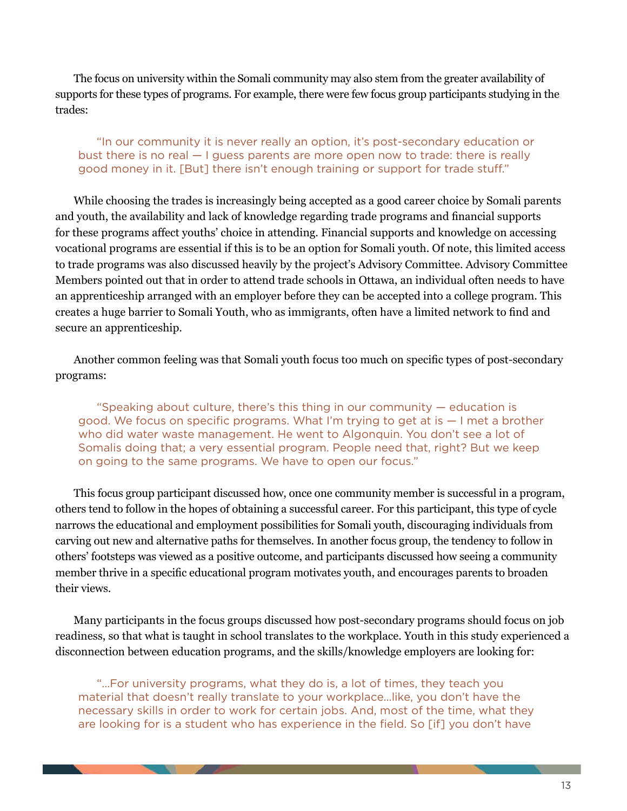The focus on university within the Somali community may also stem from the greater availability of supports for these types of programs. For example, there were few focus group participants studying in the trades:

#### "In our community it is never really an option, it's post-secondary education or bust there is no real — I guess parents are more open now to trade: there is really good money in it. [But] there isn't enough training or support for trade stuff."

While choosing the trades is increasingly being accepted as a good career choice by Somali parents and youth, the availability and lack of knowledge regarding trade programs and financial supports for these programs affect youths' choice in attending. Financial supports and knowledge on accessing vocational programs are essential if this is to be an option for Somali youth. Of note, this limited access to trade programs was also discussed heavily by the project's Advisory Committee. Advisory Committee Members pointed out that in order to attend trade schools in Ottawa, an individual often needs to have an apprenticeship arranged with an employer before they can be accepted into a college program. This creates a huge barrier to Somali Youth, who as immigrants, often have a limited network to find and secure an apprenticeship.

Another common feeling was that Somali youth focus too much on specific types of post-secondary programs:

"Speaking about culture, there's this thing in our community — education is good. We focus on specific programs. What I'm trying to get at is — I met a brother who did water waste management. He went to Algonquin. You don't see a lot of Somalis doing that; a very essential program. People need that, right? But we keep on going to the same programs. We have to open our focus."

This focus group participant discussed how, once one community member is successful in a program, others tend to follow in the hopes of obtaining a successful career. For this participant, this type of cycle narrows the educational and employment possibilities for Somali youth, discouraging individuals from carving out new and alternative paths for themselves. In another focus group, the tendency to follow in others' footsteps was viewed as a positive outcome, and participants discussed how seeing a community member thrive in a specific educational program motivates youth, and encourages parents to broaden their views.

Many participants in the focus groups discussed how post-secondary programs should focus on job readiness, so that what is taught in school translates to the workplace. Youth in this study experienced a disconnection between education programs, and the skills/knowledge employers are looking for:

"…For university programs, what they do is, a lot of times, they teach you material that doesn't really translate to your workplace…like, you don't have the necessary skills in order to work for certain jobs. And, most of the time, what they are looking for is a student who has experience in the field. So [if] you don't have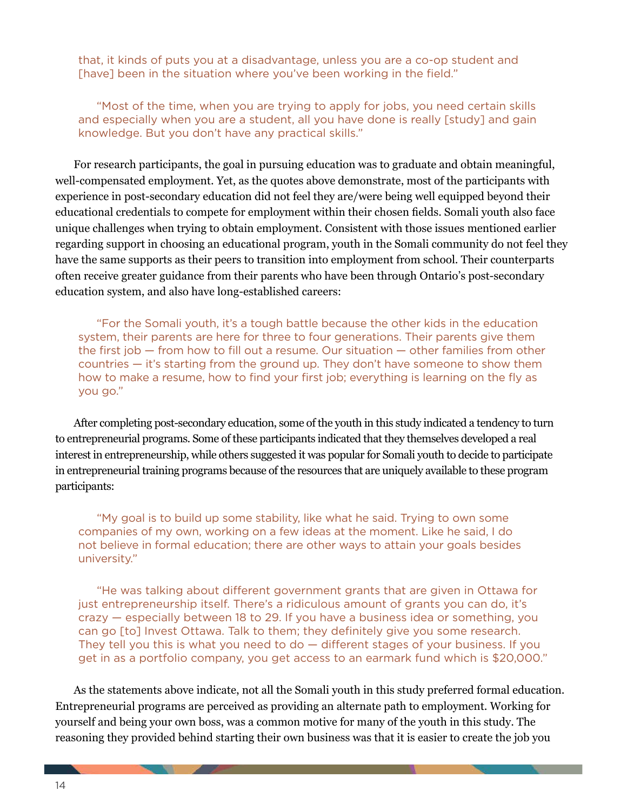that, it kinds of puts you at a disadvantage, unless you are a co-op student and [have] been in the situation where you've been working in the field."

"Most of the time, when you are trying to apply for jobs, you need certain skills and especially when you are a student, all you have done is really [study] and gain knowledge. But you don't have any practical skills."

For research participants, the goal in pursuing education was to graduate and obtain meaningful, well-compensated employment. Yet, as the quotes above demonstrate, most of the participants with experience in post-secondary education did not feel they are/were being well equipped beyond their educational credentials to compete for employment within their chosen fields. Somali youth also face unique challenges when trying to obtain employment. Consistent with those issues mentioned earlier regarding support in choosing an educational program, youth in the Somali community do not feel they have the same supports as their peers to transition into employment from school. Their counterparts often receive greater guidance from their parents who have been through Ontario's post-secondary education system, and also have long-established careers:

"For the Somali youth, it's a tough battle because the other kids in the education system, their parents are here for three to four generations. Their parents give them the first job — from how to fill out a resume. Our situation — other families from other countries — it's starting from the ground up. They don't have someone to show them how to make a resume, how to find your first job; everything is learning on the fly as you go."

After completing post-secondary education, some of the youth in this study indicated a tendency to turn to entrepreneurial programs. Some of these participants indicated that they themselves developed a real interest in entrepreneurship, while others suggested it was popular for Somali youth to decide to participate in entrepreneurial training programs because of the resources that are uniquely available to these program participants:

"My goal is to build up some stability, like what he said. Trying to own some companies of my own, working on a few ideas at the moment. Like he said, I do not believe in formal education; there are other ways to attain your goals besides university."

"He was talking about different government grants that are given in Ottawa for just entrepreneurship itself. There's a ridiculous amount of grants you can do, it's crazy — especially between 18 to 29. If you have a business idea or something, you can go [to] Invest Ottawa. Talk to them; they definitely give you some research. They tell you this is what you need to do — different stages of your business. If you get in as a portfolio company, you get access to an earmark fund which is \$20,000."

As the statements above indicate, not all the Somali youth in this study preferred formal education. Entrepreneurial programs are perceived as providing an alternate path to employment. Working for yourself and being your own boss, was a common motive for many of the youth in this study. The reasoning they provided behind starting their own business was that it is easier to create the job you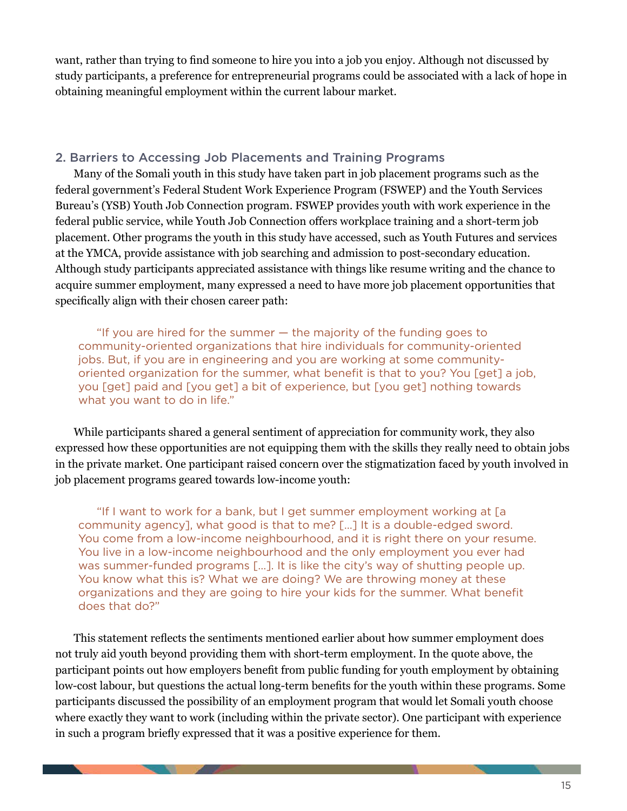want, rather than trying to find someone to hire you into a job you enjoy. Although not discussed by study participants, a preference for entrepreneurial programs could be associated with a lack of hope in obtaining meaningful employment within the current labour market.

#### 2. Barriers to Accessing Job Placements and Training Programs

Many of the Somali youth in this study have taken part in job placement programs such as the federal government's Federal Student Work Experience Program (FSWEP) and the Youth Services Bureau's (YSB) Youth Job Connection program. FSWEP provides youth with work experience in the federal public service, while Youth Job Connection offers workplace training and a short-term job placement. Other programs the youth in this study have accessed, such as Youth Futures and services at the YMCA, provide assistance with job searching and admission to post-secondary education. Although study participants appreciated assistance with things like resume writing and the chance to acquire summer employment, many expressed a need to have more job placement opportunities that specifically align with their chosen career path:

"If you are hired for the summer — the majority of the funding goes to community-oriented organizations that hire individuals for community-oriented jobs. But, if you are in engineering and you are working at some communityoriented organization for the summer, what benefit is that to you? You [get] a job, you [get] paid and [you get] a bit of experience, but [you get] nothing towards what you want to do in life."

While participants shared a general sentiment of appreciation for community work, they also expressed how these opportunities are not equipping them with the skills they really need to obtain jobs in the private market. One participant raised concern over the stigmatization faced by youth involved in job placement programs geared towards low-income youth:

"If I want to work for a bank, but I get summer employment working at [a community agency], what good is that to me? […] It is a double-edged sword. You come from a low-income neighbourhood, and it is right there on your resume. You live in a low-income neighbourhood and the only employment you ever had was summer-funded programs […]. It is like the city's way of shutting people up. You know what this is? What we are doing? We are throwing money at these organizations and they are going to hire your kids for the summer. What benefit does that do?"

This statement reflects the sentiments mentioned earlier about how summer employment does not truly aid youth beyond providing them with short-term employment. In the quote above, the participant points out how employers benefit from public funding for youth employment by obtaining low-cost labour, but questions the actual long-term benefits for the youth within these programs. Some participants discussed the possibility of an employment program that would let Somali youth choose where exactly they want to work (including within the private sector). One participant with experience in such a program briefly expressed that it was a positive experience for them.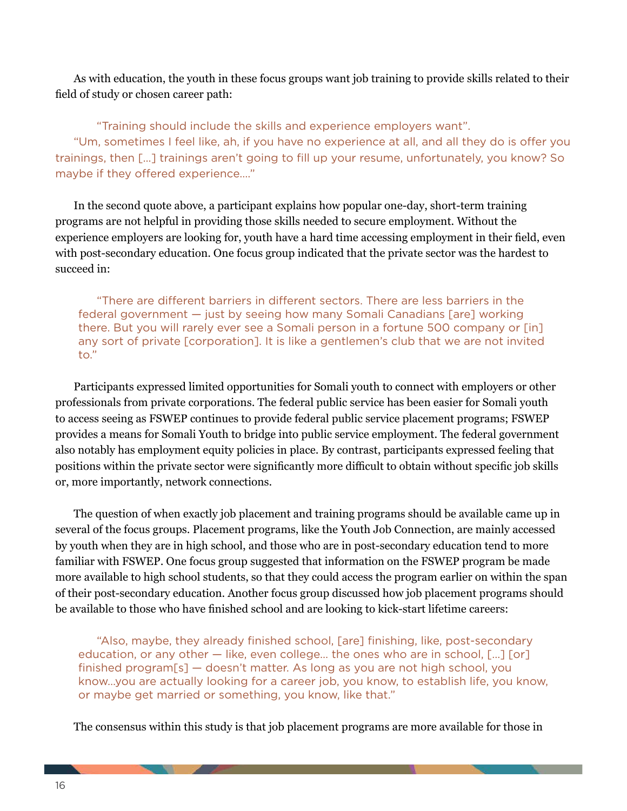As with education, the youth in these focus groups want job training to provide skills related to their field of study or chosen career path:

"Training should include the skills and experience employers want". "Um, sometimes I feel like, ah, if you have no experience at all, and all they do is offer you trainings, then […] trainings aren't going to fill up your resume, unfortunately, you know? So maybe if they offered experience…."

In the second quote above, a participant explains how popular one-day, short-term training programs are not helpful in providing those skills needed to secure employment. Without the experience employers are looking for, youth have a hard time accessing employment in their field, even with post-secondary education. One focus group indicated that the private sector was the hardest to succeed in:

"There are different barriers in different sectors. There are less barriers in the federal government — just by seeing how many Somali Canadians [are] working there. But you will rarely ever see a Somali person in a fortune 500 company or [in] any sort of private [corporation]. It is like a gentlemen's club that we are not invited to."

Participants expressed limited opportunities for Somali youth to connect with employers or other professionals from private corporations. The federal public service has been easier for Somali youth to access seeing as FSWEP continues to provide federal public service placement programs; FSWEP provides a means for Somali Youth to bridge into public service employment. The federal government also notably has employment equity policies in place. By contrast, participants expressed feeling that positions within the private sector were significantly more difficult to obtain without specific job skills or, more importantly, network connections.

The question of when exactly job placement and training programs should be available came up in several of the focus groups. Placement programs, like the Youth Job Connection, are mainly accessed by youth when they are in high school, and those who are in post-secondary education tend to more familiar with FSWEP. One focus group suggested that information on the FSWEP program be made more available to high school students, so that they could access the program earlier on within the span of their post-secondary education. Another focus group discussed how job placement programs should be available to those who have finished school and are looking to kick-start lifetime careers:

"Also, maybe, they already finished school, [are] finishing, like, post-secondary education, or any other — like, even college… the ones who are in school, […] [or] finished program[s] — doesn't matter. As long as you are not high school, you know…you are actually looking for a career job, you know, to establish life, you know, or maybe get married or something, you know, like that."

The consensus within this study is that job placement programs are more available for those in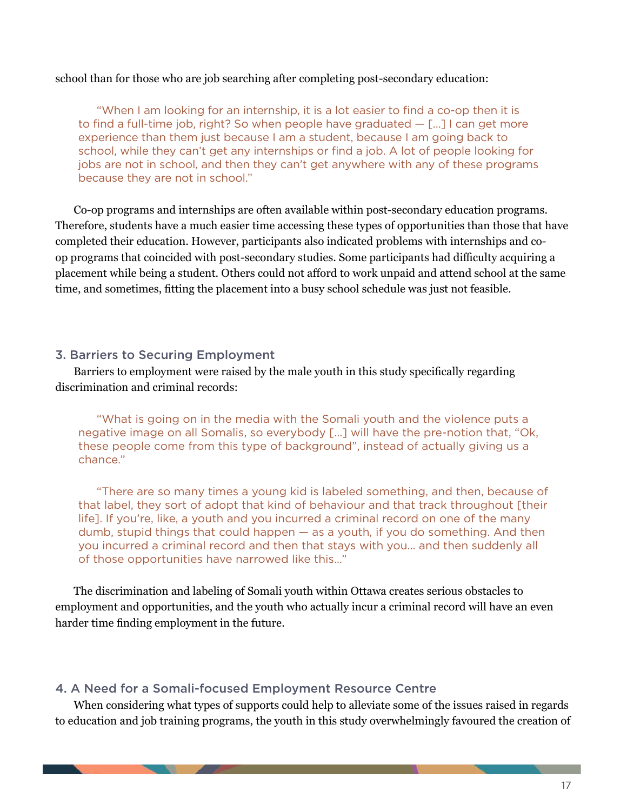#### school than for those who are job searching after completing post-secondary education:

"When I am looking for an internship, it is a lot easier to find a co-op then it is to find a full-time job, right? So when people have graduated  $-$  [...] I can get more experience than them just because I am a student, because I am going back to school, while they can't get any internships or find a job. A lot of people looking for jobs are not in school, and then they can't get anywhere with any of these programs because they are not in school."

Co-op programs and internships are often available within post-secondary education programs. Therefore, students have a much easier time accessing these types of opportunities than those that have completed their education. However, participants also indicated problems with internships and coop programs that coincided with post-secondary studies. Some participants had difficulty acquiring a placement while being a student. Others could not afford to work unpaid and attend school at the same time, and sometimes, fitting the placement into a busy school schedule was just not feasible.

#### 3. Barriers to Securing Employment

Barriers to employment were raised by the male youth in this study specifically regarding discrimination and criminal records:

"What is going on in the media with the Somali youth and the violence puts a negative image on all Somalis, so everybody […] will have the pre-notion that, "Ok, these people come from this type of background", instead of actually giving us a chance."

"There are so many times a young kid is labeled something, and then, because of that label, they sort of adopt that kind of behaviour and that track throughout [their life]. If you're, like, a youth and you incurred a criminal record on one of the many dumb, stupid things that could happen — as a youth, if you do something. And then you incurred a criminal record and then that stays with you… and then suddenly all of those opportunities have narrowed like this…"

The discrimination and labeling of Somali youth within Ottawa creates serious obstacles to employment and opportunities, and the youth who actually incur a criminal record will have an even harder time finding employment in the future.

#### 4. A Need for a Somali-focused Employment Resource Centre

When considering what types of supports could help to alleviate some of the issues raised in regards to education and job training programs, the youth in this study overwhelmingly favoured the creation of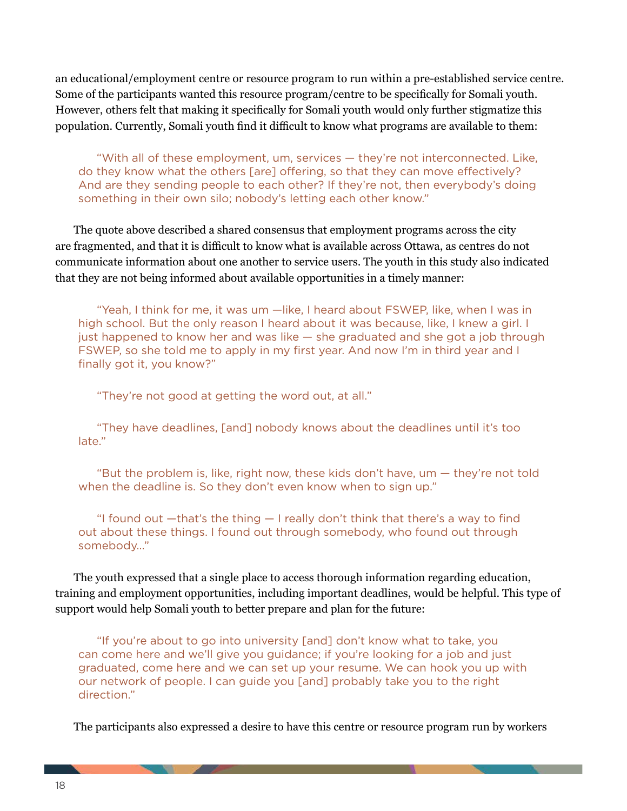an educational/employment centre or resource program to run within a pre-established service centre. Some of the participants wanted this resource program/centre to be specifically for Somali youth. However, others felt that making it specifically for Somali youth would only further stigmatize this population. Currently, Somali youth find it difficult to know what programs are available to them:

"With all of these employment, um, services — they're not interconnected. Like, do they know what the others [are] offering, so that they can move effectively? And are they sending people to each other? If they're not, then everybody's doing something in their own silo; nobody's letting each other know."

The quote above described a shared consensus that employment programs across the city are fragmented, and that it is difficult to know what is available across Ottawa, as centres do not communicate information about one another to service users. The youth in this study also indicated that they are not being informed about available opportunities in a timely manner:

"Yeah, I think for me, it was um —like, I heard about FSWEP, like, when I was in high school. But the only reason I heard about it was because, like, I knew a girl. I just happened to know her and was like — she graduated and she got a job through FSWEP, so she told me to apply in my first year. And now I'm in third year and I finally got it, you know?"

"They're not good at getting the word out, at all."

"They have deadlines, [and] nobody knows about the deadlines until it's too late."

"But the problem is, like, right now, these kids don't have, um — they're not told when the deadline is. So they don't even know when to sign up."

"I found out —that's the thing — I really don't think that there's a way to find out about these things. I found out through somebody, who found out through somebody…"

The youth expressed that a single place to access thorough information regarding education, training and employment opportunities, including important deadlines, would be helpful. This type of support would help Somali youth to better prepare and plan for the future:

"If you're about to go into university [and] don't know what to take, you can come here and we'll give you guidance; if you're looking for a job and just graduated, come here and we can set up your resume. We can hook you up with our network of people. I can guide you [and] probably take you to the right direction."

The participants also expressed a desire to have this centre or resource program run by workers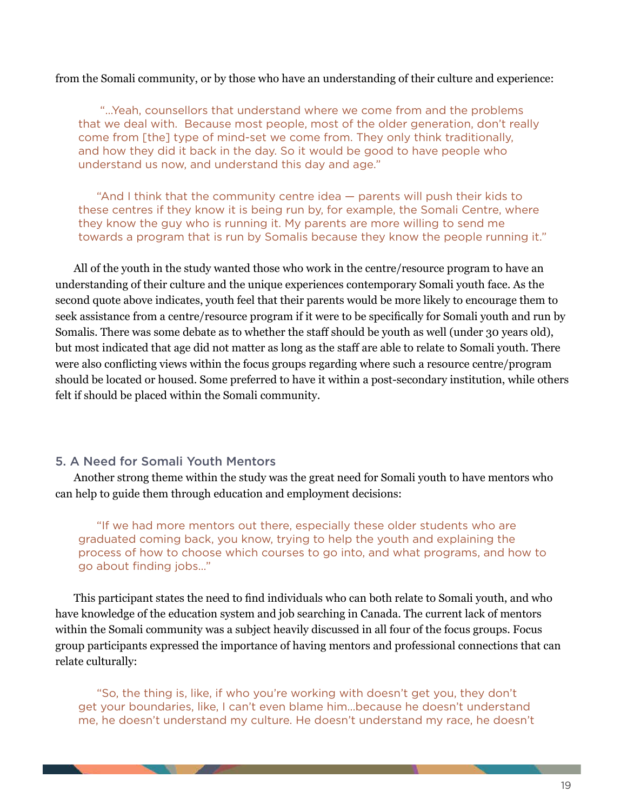#### from the Somali community, or by those who have an understanding of their culture and experience:

 "…Yeah, counsellors that understand where we come from and the problems that we deal with. Because most people, most of the older generation, don't really come from [the] type of mind-set we come from. They only think traditionally, and how they did it back in the day. So it would be good to have people who understand us now, and understand this day and age."

"And I think that the community centre idea — parents will push their kids to these centres if they know it is being run by, for example, the Somali Centre, where they know the guy who is running it. My parents are more willing to send me towards a program that is run by Somalis because they know the people running it."

All of the youth in the study wanted those who work in the centre/resource program to have an understanding of their culture and the unique experiences contemporary Somali youth face. As the second quote above indicates, youth feel that their parents would be more likely to encourage them to seek assistance from a centre/resource program if it were to be specifically for Somali youth and run by Somalis. There was some debate as to whether the staff should be youth as well (under 30 years old), but most indicated that age did not matter as long as the staff are able to relate to Somali youth. There were also conflicting views within the focus groups regarding where such a resource centre/program should be located or housed. Some preferred to have it within a post-secondary institution, while others felt if should be placed within the Somali community.

#### 5. A Need for Somali Youth Mentors

Another strong theme within the study was the great need for Somali youth to have mentors who can help to guide them through education and employment decisions:

"If we had more mentors out there, especially these older students who are graduated coming back, you know, trying to help the youth and explaining the process of how to choose which courses to go into, and what programs, and how to go about finding jobs…"

This participant states the need to find individuals who can both relate to Somali youth, and who have knowledge of the education system and job searching in Canada. The current lack of mentors within the Somali community was a subject heavily discussed in all four of the focus groups. Focus group participants expressed the importance of having mentors and professional connections that can relate culturally:

"So, the thing is, like, if who you're working with doesn't get you, they don't get your boundaries, like, I can't even blame him…because he doesn't understand me, he doesn't understand my culture. He doesn't understand my race, he doesn't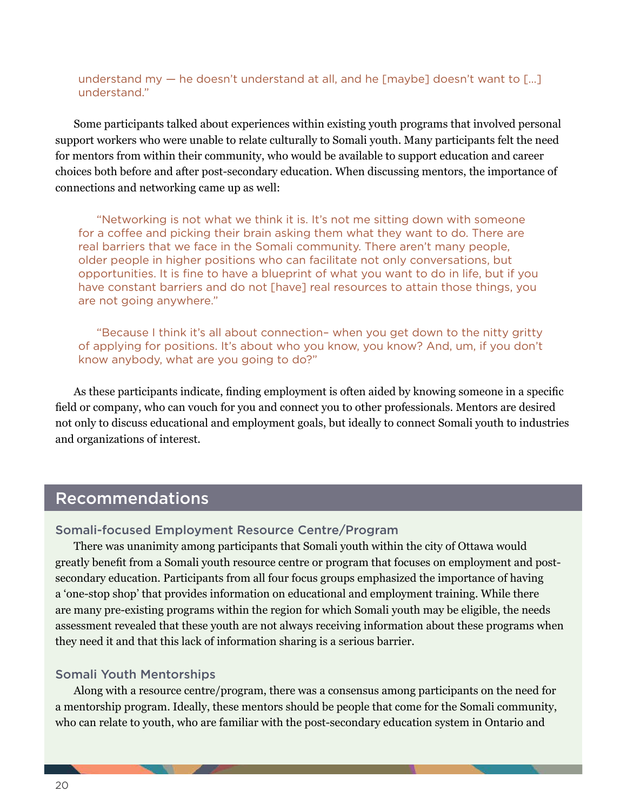understand my — he doesn't understand at all, and he [maybe] doesn't want to […] understand."

Some participants talked about experiences within existing youth programs that involved personal support workers who were unable to relate culturally to Somali youth. Many participants felt the need for mentors from within their community, who would be available to support education and career choices both before and after post-secondary education. When discussing mentors, the importance of connections and networking came up as well:

"Networking is not what we think it is. It's not me sitting down with someone for a coffee and picking their brain asking them what they want to do. There are real barriers that we face in the Somali community. There aren't many people, older people in higher positions who can facilitate not only conversations, but opportunities. It is fine to have a blueprint of what you want to do in life, but if you have constant barriers and do not [have] real resources to attain those things, you are not going anywhere."

"Because I think it's all about connection– when you get down to the nitty gritty of applying for positions. It's about who you know, you know? And, um, if you don't know anybody, what are you going to do?"

As these participants indicate, finding employment is often aided by knowing someone in a specific field or company, who can vouch for you and connect you to other professionals. Mentors are desired not only to discuss educational and employment goals, but ideally to connect Somali youth to industries and organizations of interest.

### Recommendations

#### Somali-focused Employment Resource Centre/Program

There was unanimity among participants that Somali youth within the city of Ottawa would greatly benefit from a Somali youth resource centre or program that focuses on employment and postsecondary education. Participants from all four focus groups emphasized the importance of having a 'one-stop shop' that provides information on educational and employment training. While there are many pre-existing programs within the region for which Somali youth may be eligible, the needs assessment revealed that these youth are not always receiving information about these programs when they need it and that this lack of information sharing is a serious barrier.

#### Somali Youth Mentorships

Along with a resource centre/program, there was a consensus among participants on the need for a mentorship program. Ideally, these mentors should be people that come for the Somali community, who can relate to youth, who are familiar with the post-secondary education system in Ontario and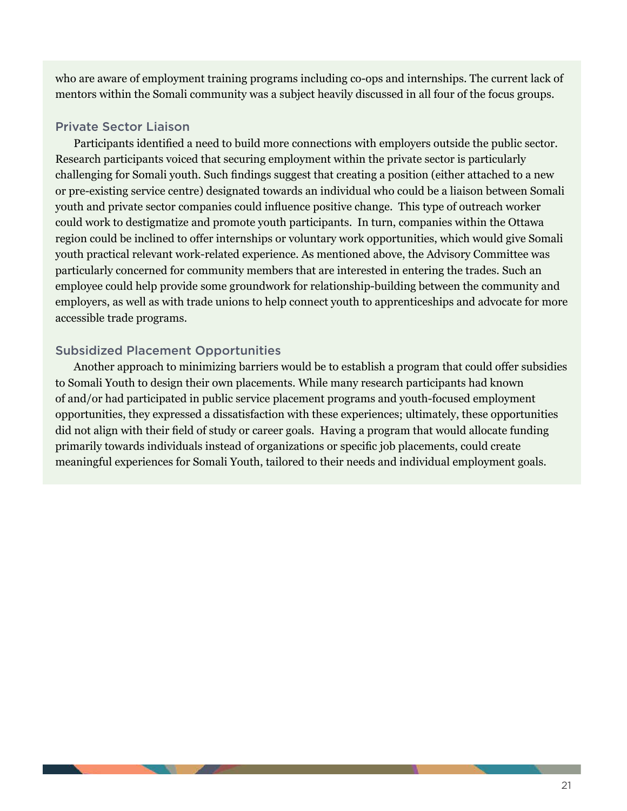who are aware of employment training programs including co-ops and internships. The current lack of mentors within the Somali community was a subject heavily discussed in all four of the focus groups.

#### Private Sector Liaison

Participants identified a need to build more connections with employers outside the public sector. Research participants voiced that securing employment within the private sector is particularly challenging for Somali youth. Such findings suggest that creating a position (either attached to a new or pre-existing service centre) designated towards an individual who could be a liaison between Somali youth and private sector companies could influence positive change. This type of outreach worker could work to destigmatize and promote youth participants. In turn, companies within the Ottawa region could be inclined to offer internships or voluntary work opportunities, which would give Somali youth practical relevant work-related experience. As mentioned above, the Advisory Committee was particularly concerned for community members that are interested in entering the trades. Such an employee could help provide some groundwork for relationship-building between the community and employers, as well as with trade unions to help connect youth to apprenticeships and advocate for more accessible trade programs.

#### Subsidized Placement Opportunities

Another approach to minimizing barriers would be to establish a program that could offer subsidies to Somali Youth to design their own placements. While many research participants had known of and/or had participated in public service placement programs and youth-focused employment opportunities, they expressed a dissatisfaction with these experiences; ultimately, these opportunities did not align with their field of study or career goals. Having a program that would allocate funding primarily towards individuals instead of organizations or specific job placements, could create meaningful experiences for Somali Youth, tailored to their needs and individual employment goals.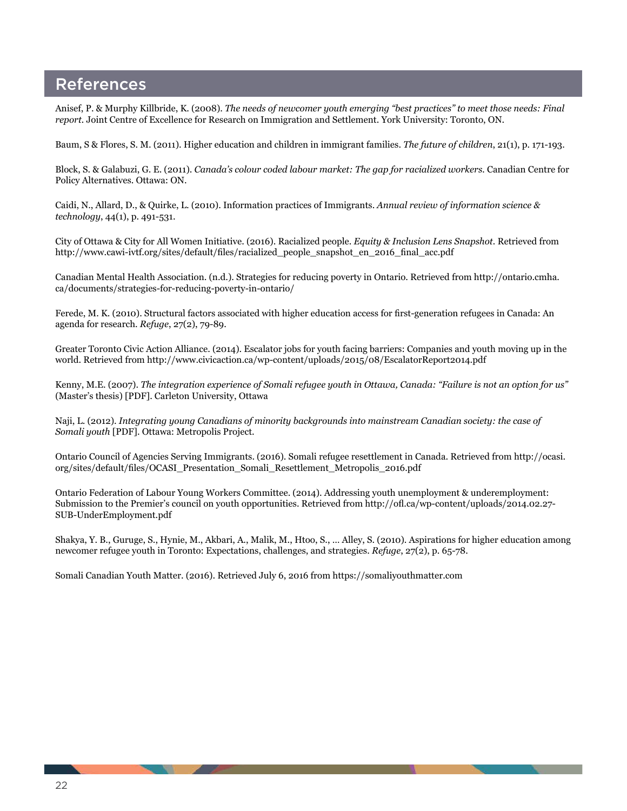## References

Anisef, P. & Murphy Killbride, K. (2008). *The needs of newcomer youth emerging "best practices" to meet those needs: Final report.* Joint Centre of Excellence for Research on Immigration and Settlement. York University: Toronto, ON.

Baum, S & Flores, S. M. (2011). Higher education and children in immigrant families. *The future of children*, 21(1), p. 171-193.

Block, S. & Galabuzi, G. E. (2011). *Canada's colour coded labour market: The gap for racialized workers.* Canadian Centre for Policy Alternatives. Ottawa: ON.

Caidi, N., Allard, D., & Quirke, L. (2010). Information practices of Immigrants. *Annual review of information science & technology*, 44(1), p. 491-531.

City of Ottawa & City for All Women Initiative. (2016). Racialized people. *Equity & Inclusion Lens Snapshot.* Retrieved from http://www.cawi-ivtf.org/sites/default/files/racialized\_people\_snapshot\_en\_2016\_final\_acc.pdf

Canadian Mental Health Association. (n.d.). Strategies for reducing poverty in Ontario. Retrieved from http://ontario.cmha. ca/documents/strategies-for-reducing-poverty-in-ontario/

Ferede, M. K. (2010). Structural factors associated with higher education access for first-generation refugees in Canada: An agenda for research. *Refuge*, 27(2), 79-89.

Greater Toronto Civic Action Alliance. (2014). Escalator jobs for youth facing barriers: Companies and youth moving up in the world. Retrieved from http://www.civicaction.ca/wp-content/uploads/2015/08/EscalatorReport2014.pdf

Kenny, M.E. (2007). *The integration experience of Somali refugee youth in Ottawa, Canada: "Failure is not an option for us"* (Master's thesis) [PDF]. Carleton University, Ottawa

Naji, L. (2012). *Integrating young Canadians of minority backgrounds into mainstream Canadian society: the case of Somali youth* [PDF]. Ottawa: Metropolis Project.

Ontario Council of Agencies Serving Immigrants. (2016). Somali refugee resettlement in Canada. Retrieved from http://ocasi. org/sites/default/files/OCASI\_Presentation\_Somali\_Resettlement\_Metropolis\_2016.pdf

Ontario Federation of Labour Young Workers Committee. (2014). Addressing youth unemployment & underemployment: Submission to the Premier's council on youth opportunities. Retrieved from http://ofl.ca/wp-content/uploads/2014.02.27- SUB-UnderEmployment.pdf

Shakya, Y. B., Guruge, S., Hynie, M., Akbari, A., Malik, M., Htoo, S., … Alley, S. (2010). Aspirations for higher education among newcomer refugee youth in Toronto: Expectations, challenges, and strategies. *Refuge*, 27(2), p. 65-78.

Somali Canadian Youth Matter. (2016). Retrieved July 6, 2016 from https://somaliyouthmatter.com